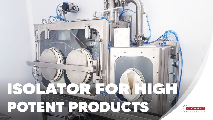

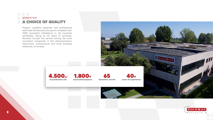

## INTRODUCTION A CHOICE OF QUALITY





Passion, qualified expertise and professional staff have led Nicomac Europe to complete over 1500 successful installations in 60 countries worldwide. Along its 40 years of activities, Nicomac Europe has served among the most innovative companies in the pharmaceutical, electronics, nutraceutical and food business industries, of all sizes.

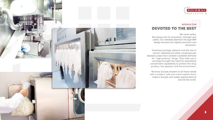



![](_page_2_Picture_1.jpeg)

## INTRODUCTION DEVOTED TO THE BEST

We never settle.

We always aim for innovation, strength and safety. Our detailed attention through BIM design ensures the highest precision and dynamism.

Growing oncology research and the rise of cancer, diabetes and other cardiovascular diseases cases have created a sizeable demand for "high potency" drugs. Their wide use in oncology brought the need for specialized containment capabilities to protect the drug product, the operator and the environment.

Nicomac Europe answers to all these needs with a modern, safe and cutom system that's made in Europe and widely appreciated all around the world.

| A |  |
|---|--|
| ╒ |  |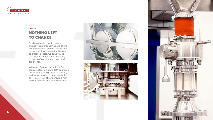![](_page_3_Picture_0.jpeg)

4

## DESIGN NOTHING LEFT TO CHANCE

By always having in mind safety, simplicity and ergonomics and taking in consideration variable factors such as material flow, required utilities and operator's access, we can provide the proper configuration according to the user's equipment, need and experience.

With main features including a full stainless steel structure, FDA approved materials with a high level of finishing and many transfer systems available, our isolators will always ensure a high quality, efficient and safe experience.

![](_page_3_Picture_4.jpeg)

![](_page_3_Picture_5.jpeg)

![](_page_3_Picture_6.jpeg)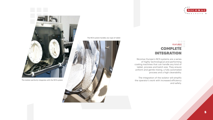![](_page_4_Picture_7.jpeg)

## FEATURES COMPLETE INTEGRATION

Nicomac Europe's NCS systems are a series of highly technological and performing coating machines that can handle any kind of tablet, process and batch size. They ensure uniform and gentle mixing, a fully automated process and a high cleanability.

The integration of the isolator will simplify the operator's work with increased efficiency and safety.

![](_page_4_Picture_0.jpeg)

![](_page_4_Picture_1.jpeg)